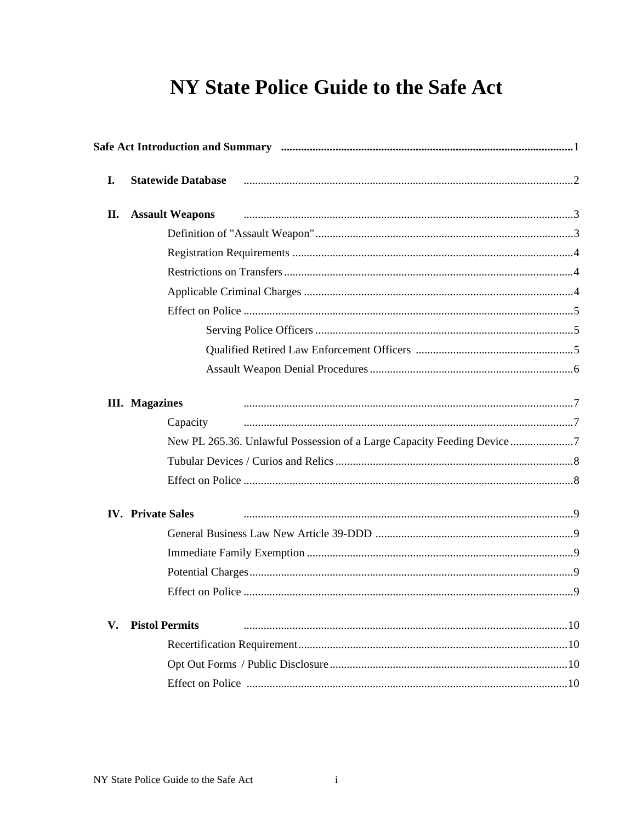## **NY State Police Guide to the Safe Act**

| I. | <b>Statewide Database</b>                                               |  |
|----|-------------------------------------------------------------------------|--|
| П. | <b>Assault Weapons</b>                                                  |  |
|    |                                                                         |  |
|    |                                                                         |  |
|    |                                                                         |  |
|    |                                                                         |  |
|    |                                                                         |  |
|    |                                                                         |  |
|    |                                                                         |  |
|    |                                                                         |  |
|    |                                                                         |  |
|    | <b>III.</b> Magazines                                                   |  |
|    | Capacity                                                                |  |
|    | New PL 265.36. Unlawful Possession of a Large Capacity Feeding Device 7 |  |
|    |                                                                         |  |
|    |                                                                         |  |
|    | <b>IV.</b> Private Sales                                                |  |
|    |                                                                         |  |
|    |                                                                         |  |
|    |                                                                         |  |
|    |                                                                         |  |
| V. | <b>Pistol Permits</b>                                                   |  |
|    |                                                                         |  |
|    |                                                                         |  |
|    |                                                                         |  |